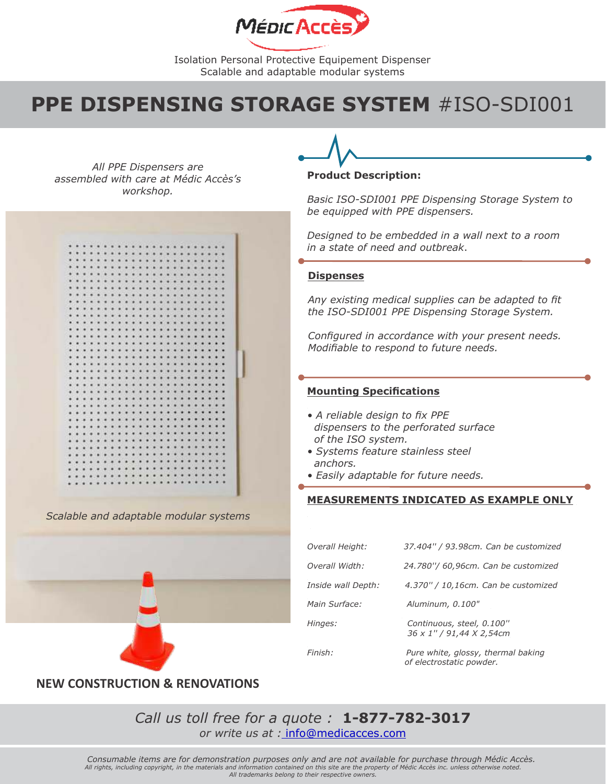

## **PPE DISPENSING STORAGE SYSTEM** #ISO-SDI001

*All PPE Dispensers are assembled with care at Médic Accès's workshop.*



*Scalable and adaptable modular systems*

#### **Product Description:**

*Basic ISO-SDI001 PPE Dispensing Storage System to be equipped with PPE dispensers.*

*Designed to be embedded in a wall next to a room in a state of need and outbreak*.

#### **Dispenses**

*Any existing medical supplies can be adapted to fit the ISO-SDI001 PPE Dispensing Storage System.*

*Configured in accordance with your present needs. Modifiable to respond to future needs.*

#### **Mounting Specifications**

- *A reliable design to fix PPE dispensers to the perforated surface of the ISO system.*
- *Systems feature stainless steel anchors.*
- *Easily adaptable for future needs.*

#### **MEASUREMENTS INDICATED AS EXAMPLE ONLY**

| Overall Height:    | 37.404" / 93.98cm. Can be customized                  |
|--------------------|-------------------------------------------------------|
| Overall Width:     | 24.780"/ 60,96cm. Can be customized                   |
| Inside wall Depth: | 4.370" / 10,16cm. Can be customized                   |
| Main Surface:      | Aluminum, 0.100"                                      |
| Hinges:            | Continuous, steel, 0.100"<br>36 x 1" / 91,44 X 2,54cm |
| Finish:            | Pure white, glossy, thermal baking                    |

 *of electrostatic powder.* 

### **NEW CONSTRUCTION & RENOVATIONS**

*Call us toll free for a quote :* **1-877-782-3017** *or write us at :* info@medicacces.com

*Consumable items are for demonstration purposes only and are not available for purchase through Médic Accès. All rights, including copyright, in the materials and information contained on this site are the property of Médic Accès inc. unless otherwise noted. All trademarks belong to their respective owners.*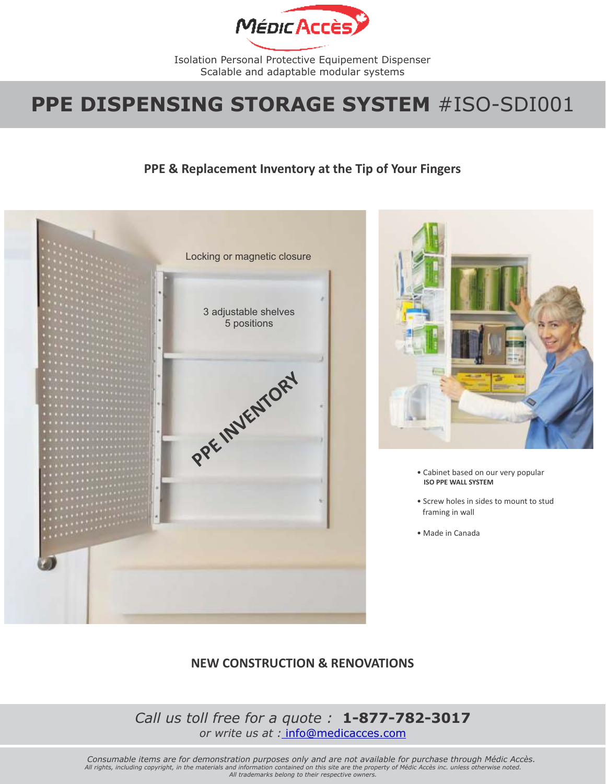

## **PPE DISPENSING STORAGE SYSTEM** #ISO-SDI001

## **PPE & Replacement Inventory at the Tip of Your Fingers**





- Cabinet based on our very popular **ISO PPE WALL SYSTEM**
- Screw holes in sides to mount to stud framing in wall
- Made in Canada

## **NEW CONSTRUCTION & RENOVATIONS**

*Call us toll free for a quote :* **1-877-782-3017** *or write us at :* info@medicacces.com

*Consumable items are for demonstration purposes only and are not available for purchase through Médic Accès. All rights, including copyright, in the materials and information contained on this site are the property of Médic Accès inc. unless otherwise noted. All trademarks belong to their respective owners.*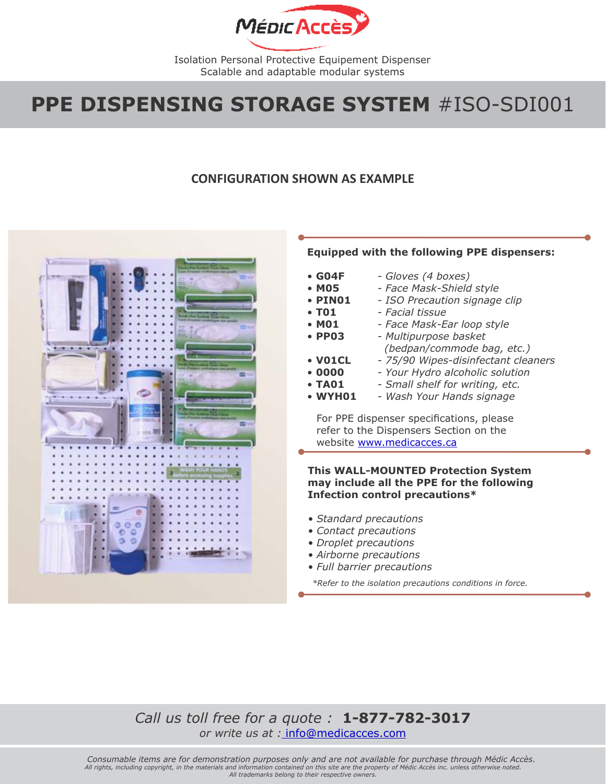

## **PPE DISPENSING STORAGE SYSTEM** #ISO-SDI001

### **CONFIGURATION SHOWN AS EXAMPLE**



### **Equipped with the following PPE dispensers:**

- • **G04F** • **M05** *- Gloves (4 boxes) - Face Mask-Shield style*
- • **PIN01** *- ISO Precaution signage clip*
- • **T01** *- Facial tissue*
- • **M01** *- Face Mask-Ear loop style*
- • **PP03** *- Multipurpose basket (bedpan/commode bag, etc.)*
- • **V01CL** *- 75/90 Wipes-disinfectant cleaners*
- **0000** *- Your Hydro alcoholic solution*
- **TA01** *- Small shelf for writing, etc.*
- **WYH01** *- Wash Your Hands signage*

For PPE dispenser specifications, please refer to the Dispensers Section on the website www.medicacces.ca

### **This WALL-MOUNTED Protection System may include all the PPE for the following Infection control precautions\***

- *Standard precautions*
- *Contact precautions*
- *Droplet precautions*
- *Airborne precautions*
- *Full barrier precautions*

*\*Refer to the isolation precautions conditions in force.* 

### *Call us toll free for a quote :* **1-877-782-3017** *or write us at :* info@medicacces.com

*Consumable items are for demonstration purposes only and are not available for purchase through Médic Accès. All rights, including copyright, in the materials and information contained on this site are the property of Médic Accès inc. unless otherwise noted. All trademarks belong to their respective owners.*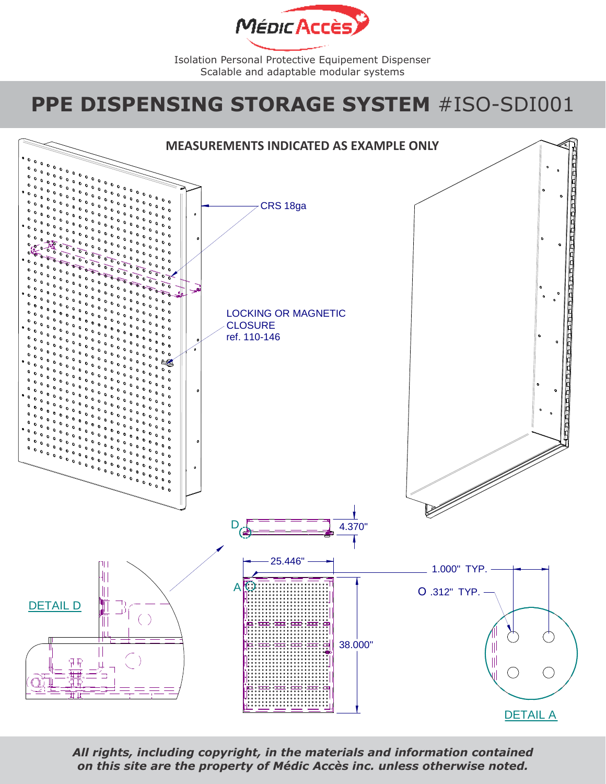![](_page_3_Picture_0.jpeg)

# **PPE DISPENSING STORAGE SYSTEM** #ISO-SDI001

![](_page_3_Figure_3.jpeg)

*All rights, including copyright, in the materials and information contained on this site are the property of Médic Accès inc. unless otherwise noted.*